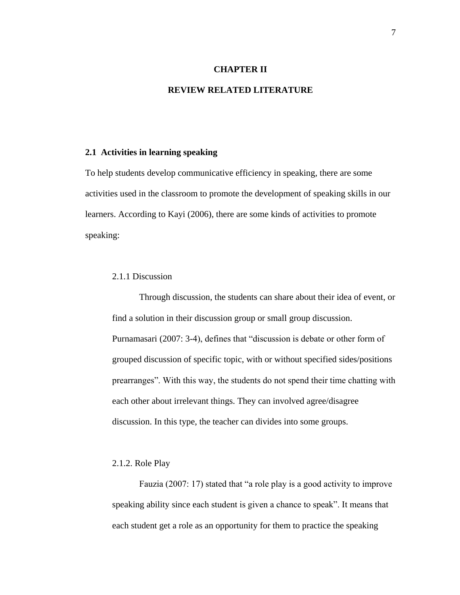#### **CHAPTER II**

## **REVIEW RELATED LITERATURE**

#### **2.1 Activities in learning speaking**

To help students develop communicative efficiency in speaking, there are some activities used in the classroom to promote the development of speaking skills in our learners. According to Kayi (2006), there are some kinds of activities to promote speaking:

# 2.1.1 Discussion

Through discussion, the students can share about their idea of event, or find a solution in their discussion group or small group discussion. Purnamasari (2007: 3-4), defines that "discussion is debate or other form of grouped discussion of specific topic, with or without specified sides/positions prearranges". With this way, the students do not spend their time chatting with each other about irrelevant things. They can involved agree/disagree discussion. In this type, the teacher can divides into some groups.

# 2.1.2. Role Play

Fauzia (2007: 17) stated that "a role play is a good activity to improve speaking ability since each student is given a chance to speak". It means that each student get a role as an opportunity for them to practice the speaking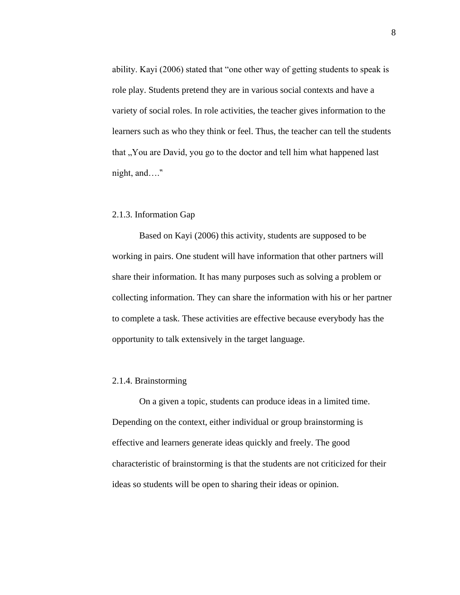ability. Kayi (2006) stated that "one other way of getting students to speak is role play. Students pretend they are in various social contexts and have a variety of social roles. In role activities, the teacher gives information to the learners such as who they think or feel. Thus, the teacher can tell the students that "You are David, you go to the doctor and tell him what happened last night, and…."

## 2.1.3. Information Gap

Based on Kayi (2006) this activity, students are supposed to be working in pairs. One student will have information that other partners will share their information. It has many purposes such as solving a problem or collecting information. They can share the information with his or her partner to complete a task. These activities are effective because everybody has the opportunity to talk extensively in the target language.

## 2.1.4. Brainstorming

On a given a topic, students can produce ideas in a limited time. Depending on the context, either individual or group brainstorming is effective and learners generate ideas quickly and freely. The good characteristic of brainstorming is that the students are not criticized for their ideas so students will be open to sharing their ideas or opinion.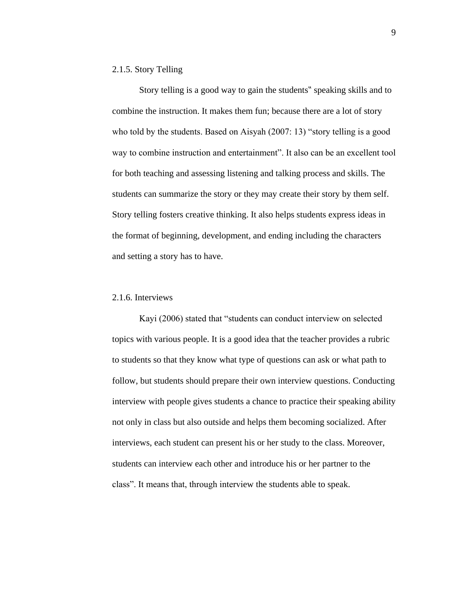# 2.1.5. Story Telling

Story telling is a good way to gain the students" speaking skills and to combine the instruction. It makes them fun; because there are a lot of story who told by the students. Based on Aisyah (2007: 13) "story telling is a good way to combine instruction and entertainment". It also can be an excellent tool for both teaching and assessing listening and talking process and skills. The students can summarize the story or they may create their story by them self. Story telling fosters creative thinking. It also helps students express ideas in the format of beginning, development, and ending including the characters and setting a story has to have.

# 2.1.6. Interviews

Kayi (2006) stated that "students can conduct interview on selected topics with various people. It is a good idea that the teacher provides a rubric to students so that they know what type of questions can ask or what path to follow, but students should prepare their own interview questions. Conducting interview with people gives students a chance to practice their speaking ability not only in class but also outside and helps them becoming socialized. After interviews, each student can present his or her study to the class. Moreover, students can interview each other and introduce his or her partner to the class". It means that, through interview the students able to speak.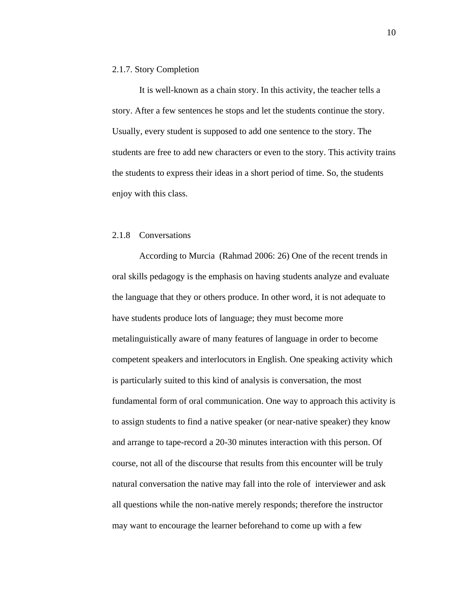#### 2.1.7. Story Completion

It is well-known as a chain story. In this activity, the teacher tells a story. After a few sentences he stops and let the students continue the story. Usually, every student is supposed to add one sentence to the story. The students are free to add new characters or even to the story. This activity trains the students to express their ideas in a short period of time. So, the students enjoy with this class.

# 2.1.8 Conversations

According to Murcia (Rahmad 2006: 26) One of the recent trends in oral skills pedagogy is the emphasis on having students analyze and evaluate the language that they or others produce. In other word, it is not adequate to have students produce lots of language; they must become more metalinguistically aware of many features of language in order to become competent speakers and interlocutors in English. One speaking activity which is particularly suited to this kind of analysis is conversation, the most fundamental form of oral communication. One way to approach this activity is to assign students to find a native speaker (or near-native speaker) they know and arrange to tape-record a 20-30 minutes interaction with this person. Of course, not all of the discourse that results from this encounter will be truly natural conversation the native may fall into the role of interviewer and ask all questions while the non-native merely responds; therefore the instructor may want to encourage the learner beforehand to come up with a few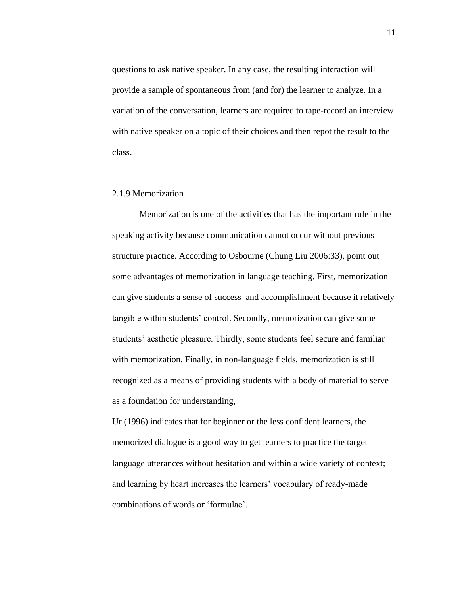questions to ask native speaker. In any case, the resulting interaction will provide a sample of spontaneous from (and for) the learner to analyze. In a variation of the conversation, learners are required to tape-record an interview with native speaker on a topic of their choices and then repot the result to the class.

## 2.1.9 Memorization

Memorization is one of the activities that has the important rule in the speaking activity because communication cannot occur without previous structure practice. According to Osbourne (Chung Liu 2006:33), point out some advantages of memorization in language teaching. First, memorization can give students a sense of success and accomplishment because it relatively tangible within students" control. Secondly, memorization can give some students" aesthetic pleasure. Thirdly, some students feel secure and familiar with memorization. Finally, in non-language fields, memorization is still recognized as a means of providing students with a body of material to serve as a foundation for understanding,

Ur (1996) indicates that for beginner or the less confident learners, the memorized dialogue is a good way to get learners to practice the target language utterances without hesitation and within a wide variety of context; and learning by heart increases the learners' vocabulary of ready-made combinations of words or "formulae".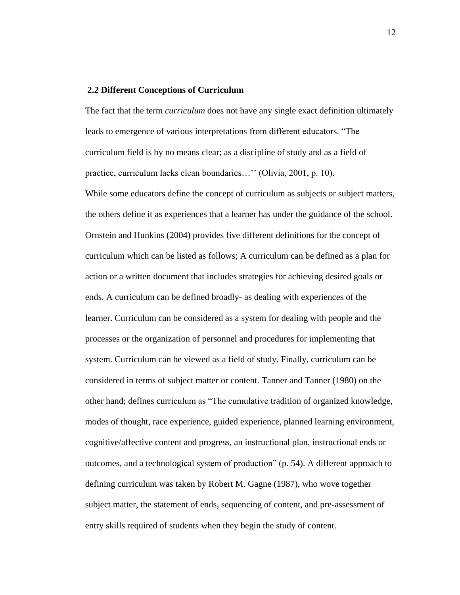#### **2.2 Different Conceptions of Curriculum**

The fact that the term *curriculum* does not have any single exact definition ultimately leads to emergence of various interpretations from different educators. "The curriculum field is by no means clear; as a discipline of study and as a field of practice, curriculum lacks clean boundaries..." (Olivia, 2001, p. 10).

While some educators define the concept of curriculum as subjects or subject matters, the others define it as experiences that a learner has under the guidance of the school. Ornstein and Hunkins (2004) provides five different definitions for the concept of curriculum which can be listed as follows; A curriculum can be defined as a plan for action or a written document that includes strategies for achieving desired goals or ends. A curriculum can be defined broadly- as dealing with experiences of the learner. Curriculum can be considered as a system for dealing with people and the processes or the organization of personnel and procedures for implementing that system. Curriculum can be viewed as a field of study. Finally, curriculum can be considered in terms of subject matter or content. Tanner and Tanner (1980) on the other hand; defines curriculum as "The cumulative tradition of organized knowledge, modes of thought, race experience, guided experience, planned learning environment, cognitive/affective content and progress, an instructional plan, instructional ends or outcomes, and a technological system of production" (p. 54). A different approach to defining curriculum was taken by Robert M. Gagne (1987), who wove together subject matter, the statement of ends, sequencing of content, and pre-assessment of entry skills required of students when they begin the study of content.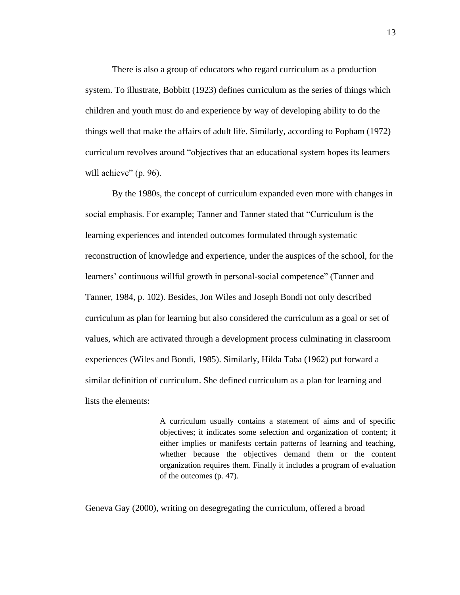There is also a group of educators who regard curriculum as a production system. To illustrate, Bobbitt (1923) defines curriculum as the series of things which children and youth must do and experience by way of developing ability to do the things well that make the affairs of adult life. Similarly, according to Popham (1972) curriculum revolves around "objectives that an educational system hopes its learners will achieve" (p. 96).

By the 1980s, the concept of curriculum expanded even more with changes in social emphasis. For example; Tanner and Tanner stated that "Curriculum is the learning experiences and intended outcomes formulated through systematic reconstruction of knowledge and experience, under the auspices of the school, for the learners' continuous willful growth in personal-social competence" (Tanner and Tanner, 1984, p. 102). Besides, Jon Wiles and Joseph Bondi not only described curriculum as plan for learning but also considered the curriculum as a goal or set of values, which are activated through a development process culminating in classroom experiences (Wiles and Bondi, 1985). Similarly, Hilda Taba (1962) put forward a similar definition of curriculum. She defined curriculum as a plan for learning and lists the elements:

> A curriculum usually contains a statement of aims and of specific objectives; it indicates some selection and organization of content; it either implies or manifests certain patterns of learning and teaching, whether because the objectives demand them or the content organization requires them. Finally it includes a program of evaluation of the outcomes (p. 47).

Geneva Gay (2000), writing on desegregating the curriculum, offered a broad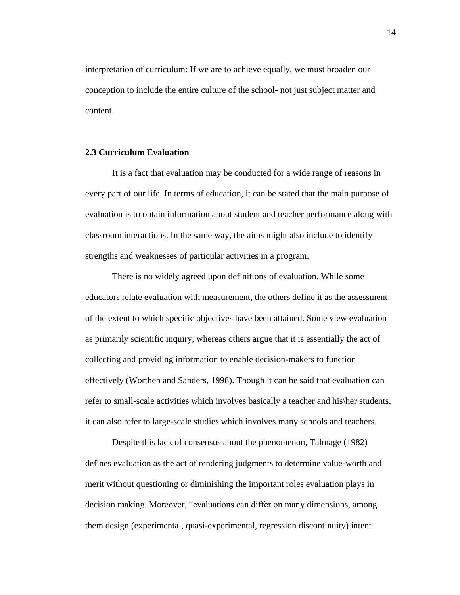interpretation of curriculum: If we are to achieve equally, we must broaden our conception to include the entire culture of the school- not just subject matter and content.

#### **2.3 Curriculum Evaluation**

It is a fact that evaluation may be conducted for a wide range of reasons in every part of our life. In terms of education, it can be stated that the main purpose of evaluation is to obtain information about student and teacher performance along with classroom interactions. In the same way, the aims might also include to identify strengths and weaknesses of particular activities in a program.

There is no widely agreed upon definitions of evaluation. While some educators relate evaluation with measurement, the others define it as the assessment of the extent to which specific objectives have been attained. Some view evaluation as primarily scientific inquiry, whereas others argue that it is essentially the act of collecting and providing information to enable decision-makers to function effectively (Worthen and Sanders, 1998). Though it can be said that evaluation can refer to small-scale activities which involves basically a teacher and his\her students, it can also refer to large-scale studies which involves many schools and teachers.

Despite this lack of consensus about the phenomenon, Talmage (1982) defines evaluation as the act of rendering judgments to determine value-worth and merit without questioning or diminishing the important roles evaluation plays in decision making. Moreover, "evaluations can differ on many dimensions, among them design (experimental, quasi-experimental, regression discontinuity) intent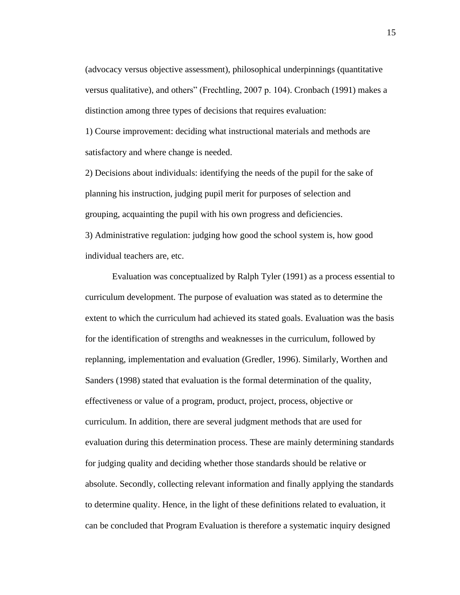(advocacy versus objective assessment), philosophical underpinnings (quantitative versus qualitative), and others" (Frechtling, 2007 p. 104). Cronbach (1991) makes a distinction among three types of decisions that requires evaluation:

1) Course improvement: deciding what instructional materials and methods are satisfactory and where change is needed.

2) Decisions about individuals: identifying the needs of the pupil for the sake of planning his instruction, judging pupil merit for purposes of selection and grouping, acquainting the pupil with his own progress and deficiencies. 3) Administrative regulation: judging how good the school system is, how good individual teachers are, etc.

Evaluation was conceptualized by Ralph Tyler (1991) as a process essential to curriculum development. The purpose of evaluation was stated as to determine the extent to which the curriculum had achieved its stated goals. Evaluation was the basis for the identification of strengths and weaknesses in the curriculum, followed by replanning, implementation and evaluation (Gredler, 1996). Similarly, Worthen and Sanders (1998) stated that evaluation is the formal determination of the quality, effectiveness or value of a program, product, project, process, objective or curriculum. In addition, there are several judgment methods that are used for evaluation during this determination process. These are mainly determining standards for judging quality and deciding whether those standards should be relative or absolute. Secondly, collecting relevant information and finally applying the standards to determine quality. Hence, in the light of these definitions related to evaluation, it can be concluded that Program Evaluation is therefore a systematic inquiry designed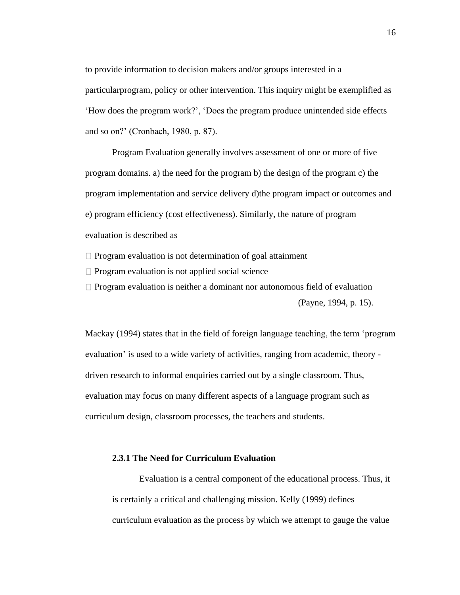to provide information to decision makers and/or groups interested in a particularprogram, policy or other intervention. This inquiry might be exemplified as "How does the program work?", "Does the program produce unintended side effects and so on?" (Cronbach, 1980, p. 87).

Program Evaluation generally involves assessment of one or more of five program domains. a) the need for the program b) the design of the program c) the program implementation and service delivery d)the program impact or outcomes and e) program efficiency (cost effectiveness). Similarly, the nature of program evaluation is described as

 $\Box$  Program evaluation is not determination of goal attainment

 $\Box$  Program evaluation is not applied social science

 $\Box$  Program evaluation is neither a dominant nor autonomous field of evaluation (Payne, 1994, p. 15).

Mackay (1994) states that in the field of foreign language teaching, the term "program evaluation' is used to a wide variety of activities, ranging from academic, theory driven research to informal enquiries carried out by a single classroom. Thus, evaluation may focus on many different aspects of a language program such as curriculum design, classroom processes, the teachers and students.

## **2.3.1 The Need for Curriculum Evaluation**

Evaluation is a central component of the educational process. Thus, it is certainly a critical and challenging mission. Kelly (1999) defines curriculum evaluation as the process by which we attempt to gauge the value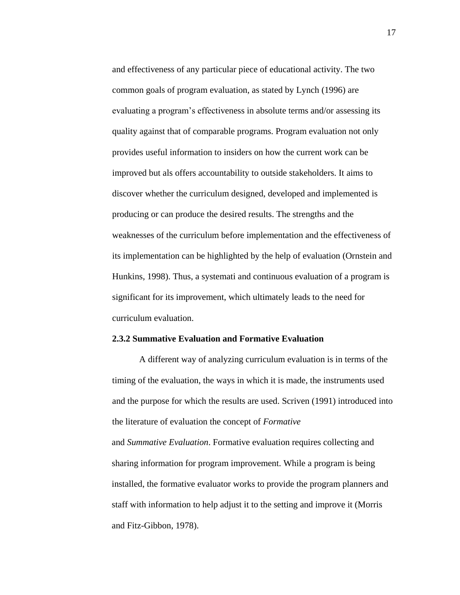and effectiveness of any particular piece of educational activity. The two common goals of program evaluation, as stated by Lynch (1996) are evaluating a program"s effectiveness in absolute terms and/or assessing its quality against that of comparable programs. Program evaluation not only provides useful information to insiders on how the current work can be improved but als offers accountability to outside stakeholders. It aims to discover whether the curriculum designed, developed and implemented is producing or can produce the desired results. The strengths and the weaknesses of the curriculum before implementation and the effectiveness of its implementation can be highlighted by the help of evaluation (Ornstein and Hunkins, 1998). Thus, a systemati and continuous evaluation of a program is significant for its improvement, which ultimately leads to the need for curriculum evaluation.

# **2.3.2 Summative Evaluation and Formative Evaluation**

A different way of analyzing curriculum evaluation is in terms of the timing of the evaluation, the ways in which it is made, the instruments used and the purpose for which the results are used. Scriven (1991) introduced into the literature of evaluation the concept of *Formative* and *Summative Evaluation*. Formative evaluation requires collecting and sharing information for program improvement. While a program is being installed, the formative evaluator works to provide the program planners and staff with information to help adjust it to the setting and improve it (Morris and Fitz-Gibbon, 1978).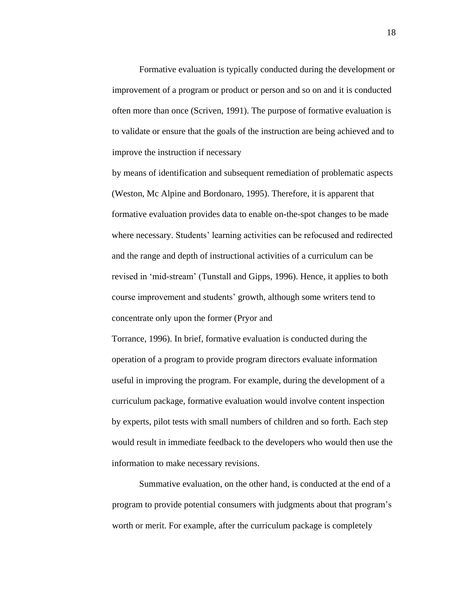Formative evaluation is typically conducted during the development or improvement of a program or product or person and so on and it is conducted often more than once (Scriven, 1991). The purpose of formative evaluation is to validate or ensure that the goals of the instruction are being achieved and to improve the instruction if necessary

by means of identification and subsequent remediation of problematic aspects (Weston, Mc Alpine and Bordonaro, 1995). Therefore, it is apparent that formative evaluation provides data to enable on-the-spot changes to be made where necessary. Students' learning activities can be refocused and redirected and the range and depth of instructional activities of a curriculum can be revised in "mid-stream" (Tunstall and Gipps, 1996). Hence, it applies to both course improvement and students" growth, although some writers tend to concentrate only upon the former (Pryor and

Torrance, 1996). In brief, formative evaluation is conducted during the operation of a program to provide program directors evaluate information useful in improving the program. For example, during the development of a curriculum package, formative evaluation would involve content inspection by experts, pilot tests with small numbers of children and so forth. Each step would result in immediate feedback to the developers who would then use the information to make necessary revisions.

Summative evaluation, on the other hand, is conducted at the end of a program to provide potential consumers with judgments about that program"s worth or merit. For example, after the curriculum package is completely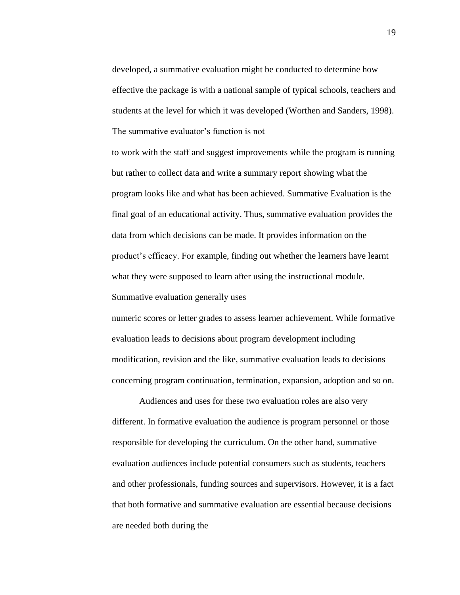developed, a summative evaluation might be conducted to determine how effective the package is with a national sample of typical schools, teachers and students at the level for which it was developed (Worthen and Sanders, 1998). The summative evaluator's function is not

to work with the staff and suggest improvements while the program is running but rather to collect data and write a summary report showing what the program looks like and what has been achieved. Summative Evaluation is the final goal of an educational activity. Thus, summative evaluation provides the data from which decisions can be made. It provides information on the product"s efficacy. For example, finding out whether the learners have learnt what they were supposed to learn after using the instructional module. Summative evaluation generally uses

numeric scores or letter grades to assess learner achievement. While formative evaluation leads to decisions about program development including modification, revision and the like, summative evaluation leads to decisions concerning program continuation, termination, expansion, adoption and so on.

Audiences and uses for these two evaluation roles are also very different. In formative evaluation the audience is program personnel or those responsible for developing the curriculum. On the other hand, summative evaluation audiences include potential consumers such as students, teachers and other professionals, funding sources and supervisors. However, it is a fact that both formative and summative evaluation are essential because decisions are needed both during the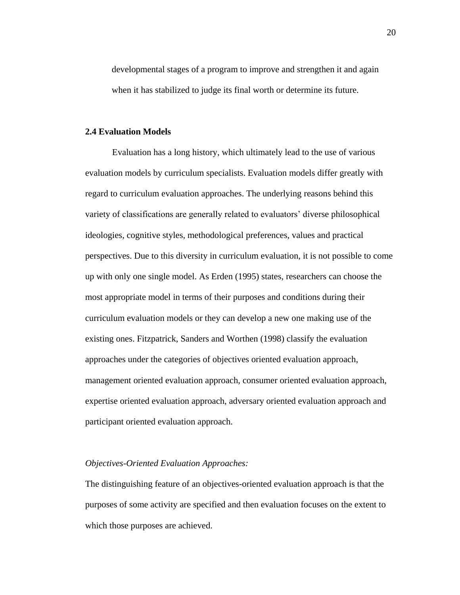developmental stages of a program to improve and strengthen it and again when it has stabilized to judge its final worth or determine its future.

## **2.4 Evaluation Models**

Evaluation has a long history, which ultimately lead to the use of various evaluation models by curriculum specialists. Evaluation models differ greatly with regard to curriculum evaluation approaches. The underlying reasons behind this variety of classifications are generally related to evaluators' diverse philosophical ideologies, cognitive styles, methodological preferences, values and practical perspectives. Due to this diversity in curriculum evaluation, it is not possible to come up with only one single model. As Erden (1995) states, researchers can choose the most appropriate model in terms of their purposes and conditions during their curriculum evaluation models or they can develop a new one making use of the existing ones. Fitzpatrick, Sanders and Worthen (1998) classify the evaluation approaches under the categories of objectives oriented evaluation approach, management oriented evaluation approach, consumer oriented evaluation approach, expertise oriented evaluation approach, adversary oriented evaluation approach and participant oriented evaluation approach.

# *Objectives-Oriented Evaluation Approaches:*

The distinguishing feature of an objectives-oriented evaluation approach is that the purposes of some activity are specified and then evaluation focuses on the extent to which those purposes are achieved.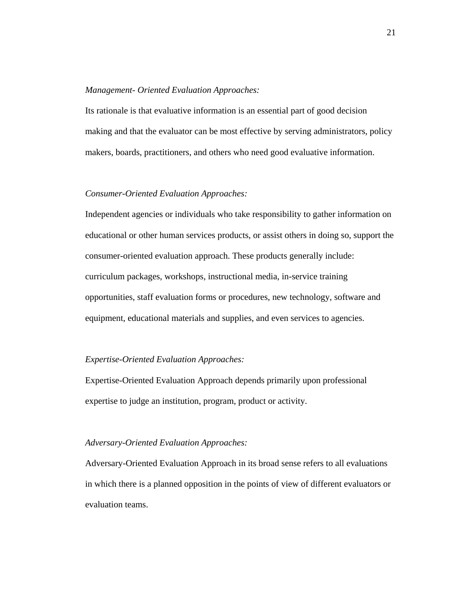#### *Management- Oriented Evaluation Approaches:*

Its rationale is that evaluative information is an essential part of good decision making and that the evaluator can be most effective by serving administrators, policy makers, boards, practitioners, and others who need good evaluative information.

# *Consumer-Oriented Evaluation Approaches:*

Independent agencies or individuals who take responsibility to gather information on educational or other human services products, or assist others in doing so, support the consumer-oriented evaluation approach. These products generally include: curriculum packages, workshops, instructional media, in-service training opportunities, staff evaluation forms or procedures, new technology, software and equipment, educational materials and supplies, and even services to agencies.

### *Expertise-Oriented Evaluation Approaches:*

Expertise-Oriented Evaluation Approach depends primarily upon professional expertise to judge an institution, program, product or activity.

### *Adversary-Oriented Evaluation Approaches:*

Adversary-Oriented Evaluation Approach in its broad sense refers to all evaluations in which there is a planned opposition in the points of view of different evaluators or evaluation teams.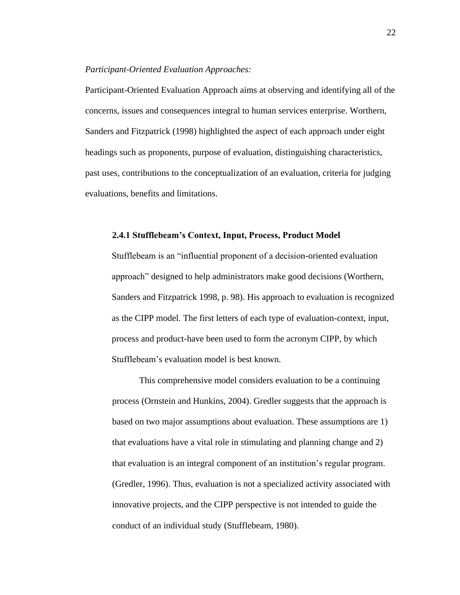#### *Participant-Oriented Evaluation Approaches:*

Participant-Oriented Evaluation Approach aims at observing and identifying all of the concerns, issues and consequences integral to human services enterprise. Worthern, Sanders and Fitzpatrick (1998) highlighted the aspect of each approach under eight headings such as proponents, purpose of evaluation, distinguishing characteristics, past uses, contributions to the conceptualization of an evaluation, criteria for judging evaluations, benefits and limitations.

# **2.4.1 Stufflebeam's Context, Input, Process, Product Model**

Stufflebeam is an "influential proponent of a decision-oriented evaluation approach" designed to help administrators make good decisions (Worthern, Sanders and Fitzpatrick 1998, p. 98). His approach to evaluation is recognized as the CIPP model. The first letters of each type of evaluation-context, input, process and product-have been used to form the acronym CIPP, by which Stufflebeam"s evaluation model is best known.

This comprehensive model considers evaluation to be a continuing process (Ornstein and Hunkins, 2004). Gredler suggests that the approach is based on two major assumptions about evaluation. These assumptions are 1) that evaluations have a vital role in stimulating and planning change and 2) that evaluation is an integral component of an institution"s regular program. (Gredler, 1996). Thus, evaluation is not a specialized activity associated with innovative projects, and the CIPP perspective is not intended to guide the conduct of an individual study (Stufflebeam, 1980).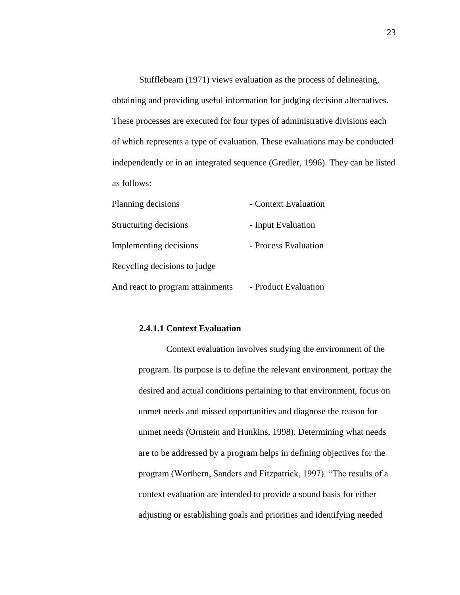Stufflebeam (1971) views evaluation as the process of delineating, obtaining and providing useful information for judging decision alternatives. These processes are executed for four types of administrative divisions each of which represents a type of evaluation. These evaluations may be conducted independently or in an integrated sequence (Gredler, 1996). They can be listed as follows:

| Planning decisions               | - Context Evaluation |
|----------------------------------|----------------------|
| Structuring decisions            | - Input Evaluation   |
| Implementing decisions           | - Process Evaluation |
| Recycling decisions to judge     |                      |
| And react to program attainments | - Product Evaluation |

## **2.4.1.1 Context Evaluation**

Context evaluation involves studying the environment of the program. Its purpose is to define the relevant environment, portray the desired and actual conditions pertaining to that environment, focus on unmet needs and missed opportunities and diagnose the reason for unmet needs (Ornstein and Hunkins, 1998). Determining what needs are to be addressed by a program helps in defining objectives for the program (Worthern, Sanders and Fitzpatrick, 1997). "The results of a context evaluation are intended to provide a sound basis for either adjusting or establishing goals and priorities and identifying needed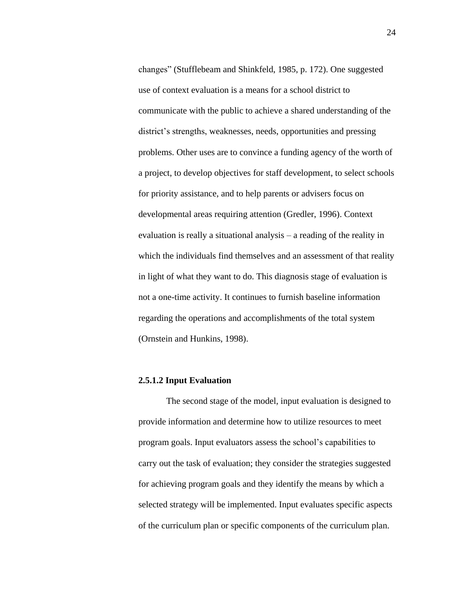changes" (Stufflebeam and Shinkfeld, 1985, p. 172). One suggested use of context evaluation is a means for a school district to communicate with the public to achieve a shared understanding of the district's strengths, weaknesses, needs, opportunities and pressing problems. Other uses are to convince a funding agency of the worth of a project, to develop objectives for staff development, to select schools for priority assistance, and to help parents or advisers focus on developmental areas requiring attention (Gredler, 1996). Context evaluation is really a situational analysis – a reading of the reality in which the individuals find themselves and an assessment of that reality in light of what they want to do. This diagnosis stage of evaluation is not a one-time activity. It continues to furnish baseline information regarding the operations and accomplishments of the total system (Ornstein and Hunkins, 1998).

## **2.5.1.2 Input Evaluation**

The second stage of the model, input evaluation is designed to provide information and determine how to utilize resources to meet program goals. Input evaluators assess the school"s capabilities to carry out the task of evaluation; they consider the strategies suggested for achieving program goals and they identify the means by which a selected strategy will be implemented. Input evaluates specific aspects of the curriculum plan or specific components of the curriculum plan.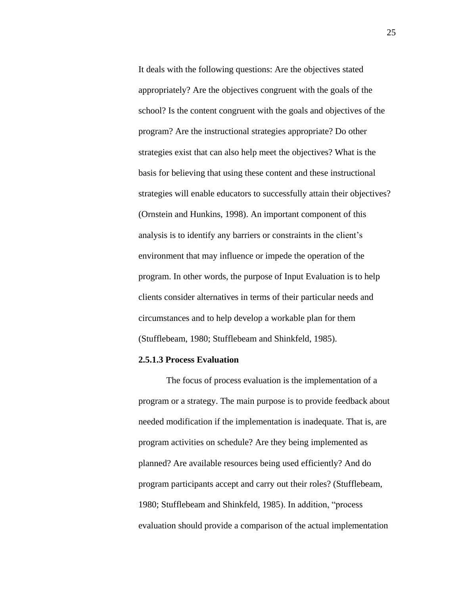It deals with the following questions: Are the objectives stated appropriately? Are the objectives congruent with the goals of the school? Is the content congruent with the goals and objectives of the program? Are the instructional strategies appropriate? Do other strategies exist that can also help meet the objectives? What is the basis for believing that using these content and these instructional strategies will enable educators to successfully attain their objectives? (Ornstein and Hunkins, 1998). An important component of this analysis is to identify any barriers or constraints in the client's environment that may influence or impede the operation of the program. In other words, the purpose of Input Evaluation is to help clients consider alternatives in terms of their particular needs and circumstances and to help develop a workable plan for them (Stufflebeam, 1980; Stufflebeam and Shinkfeld, 1985).

#### **2.5.1.3 Process Evaluation**

The focus of process evaluation is the implementation of a program or a strategy. The main purpose is to provide feedback about needed modification if the implementation is inadequate. That is, are program activities on schedule? Are they being implemented as planned? Are available resources being used efficiently? And do program participants accept and carry out their roles? (Stufflebeam, 1980; Stufflebeam and Shinkfeld, 1985). In addition, "process evaluation should provide a comparison of the actual implementation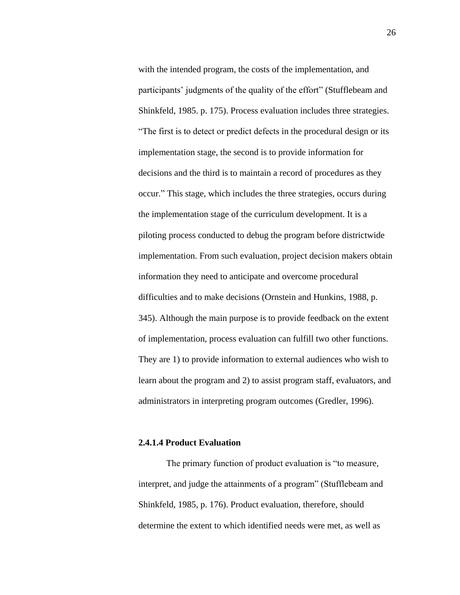with the intended program, the costs of the implementation, and participants' judgments of the quality of the effort" (Stufflebeam and Shinkfeld, 1985. p. 175). Process evaluation includes three strategies. "The first is to detect or predict defects in the procedural design or its implementation stage, the second is to provide information for decisions and the third is to maintain a record of procedures as they occur." This stage, which includes the three strategies, occurs during the implementation stage of the curriculum development. It is a piloting process conducted to debug the program before districtwide implementation. From such evaluation, project decision makers obtain information they need to anticipate and overcome procedural difficulties and to make decisions (Ornstein and Hunkins, 1988, p. 345). Although the main purpose is to provide feedback on the extent of implementation, process evaluation can fulfill two other functions. They are 1) to provide information to external audiences who wish to learn about the program and 2) to assist program staff, evaluators, and administrators in interpreting program outcomes (Gredler, 1996).

#### **2.4.1.4 Product Evaluation**

The primary function of product evaluation is "to measure, interpret, and judge the attainments of a program" (Stufflebeam and Shinkfeld, 1985, p. 176). Product evaluation, therefore, should determine the extent to which identified needs were met, as well as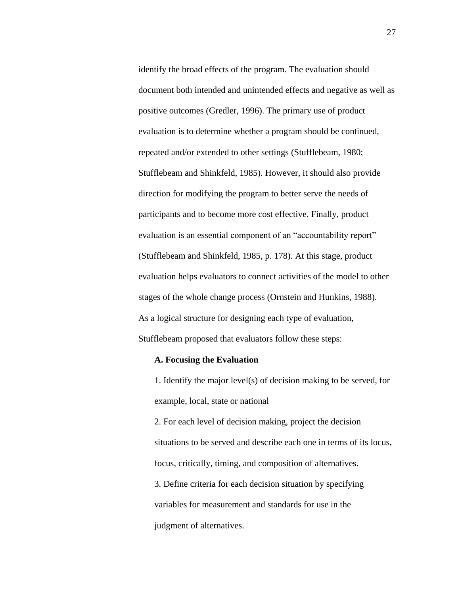identify the broad effects of the program. The evaluation should document both intended and unintended effects and negative as well as positive outcomes (Gredler, 1996). The primary use of product evaluation is to determine whether a program should be continued, repeated and/or extended to other settings (Stufflebeam, 1980; Stufflebeam and Shinkfeld, 1985). However, it should also provide direction for modifying the program to better serve the needs of participants and to become more cost effective. Finally, product evaluation is an essential component of an "accountability report" (Stufflebeam and Shinkfeld, 1985, p. 178). At this stage, product evaluation helps evaluators to connect activities of the model to other stages of the whole change process (Ornstein and Hunkins, 1988). As a logical structure for designing each type of evaluation, Stufflebeam proposed that evaluators follow these steps:

### **A. Focusing the Evaluation**

1. Identify the major level(s) of decision making to be served, for example, local, state or national

2. For each level of decision making, project the decision situations to be served and describe each one in terms of its locus, focus, critically, timing, and composition of alternatives. 3. Define criteria for each decision situation by specifying variables for measurement and standards for use in the judgment of alternatives.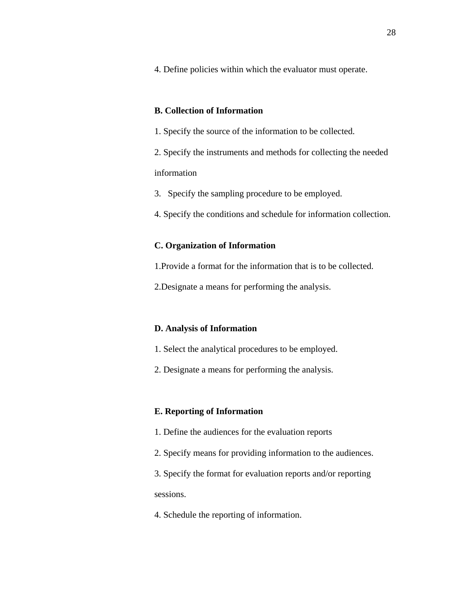4. Define policies within which the evaluator must operate.

## **B. Collection of Information**

1. Specify the source of the information to be collected.

2. Specify the instruments and methods for collecting the needed information

3. Specify the sampling procedure to be employed.

4. Specify the conditions and schedule for information collection.

# **C. Organization of Information**

1.Provide a format for the information that is to be collected.

2.Designate a means for performing the analysis.

## **D. Analysis of Information**

- 1. Select the analytical procedures to be employed.
- 2. Designate a means for performing the analysis.

# **E. Reporting of Information**

- 1. Define the audiences for the evaluation reports
- 2. Specify means for providing information to the audiences.
- 3. Specify the format for evaluation reports and/or reporting sessions.
- 4. Schedule the reporting of information.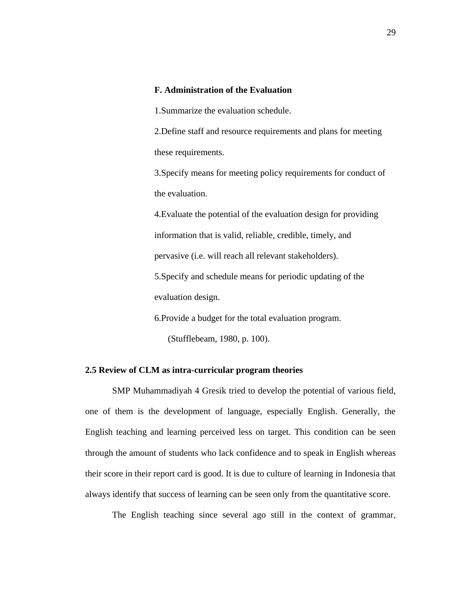## **F. Administration of the Evaluation**

1.Summarize the evaluation schedule.

2.Define staff and resource requirements and plans for meeting these requirements.

3.Specify means for meeting policy requirements for conduct of the evaluation.

4.Evaluate the potential of the evaluation design for providing information that is valid, reliable, credible, timely, and pervasive (i.e. will reach all relevant stakeholders).

5.Specify and schedule means for periodic updating of the evaluation design.

6.Provide a budget for the total evaluation program.

(Stufflebeam, 1980, p. 100).

# **2.5 Review of CLM as intra-curricular program theories**

SMP Muhammadiyah 4 Gresik tried to develop the potential of various field, one of them is the development of language, especially English. Generally, the English teaching and learning perceived less on target. This condition can be seen through the amount of students who lack confidence and to speak in English whereas their score in their report card is good. It is due to culture of learning in Indonesia that always identify that success of learning can be seen only from the quantitative score.

The English teaching since several ago still in the context of grammar,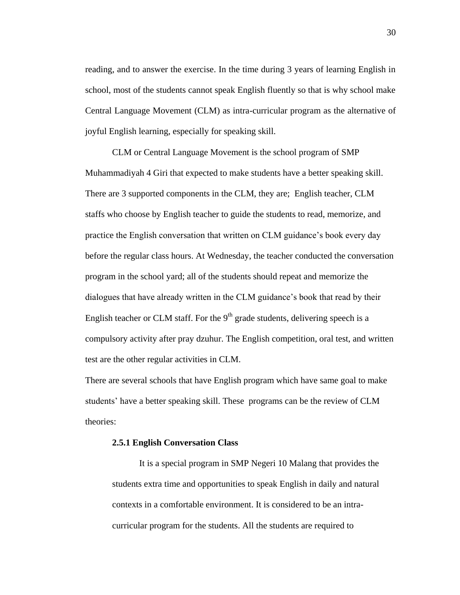reading, and to answer the exercise. In the time during 3 years of learning English in school, most of the students cannot speak English fluently so that is why school make Central Language Movement (CLM) as intra-curricular program as the alternative of joyful English learning, especially for speaking skill.

CLM or Central Language Movement is the school program of SMP Muhammadiyah 4 Giri that expected to make students have a better speaking skill. There are 3 supported components in the CLM, they are; English teacher, CLM staffs who choose by English teacher to guide the students to read, memorize, and practice the English conversation that written on CLM guidance"s book every day before the regular class hours. At Wednesday, the teacher conducted the conversation program in the school yard; all of the students should repeat and memorize the dialogues that have already written in the CLM guidance"s book that read by their English teacher or CLM staff. For the  $9<sup>th</sup>$  grade students, delivering speech is a compulsory activity after pray dzuhur. The English competition, oral test, and written test are the other regular activities in CLM.

There are several schools that have English program which have same goal to make students" have a better speaking skill. These programs can be the review of CLM theories:

### **2.5.1 English Conversation Class**

It is a special program in SMP Negeri 10 Malang that provides the students extra time and opportunities to speak English in daily and natural contexts in a comfortable environment. It is considered to be an intracurricular program for the students. All the students are required to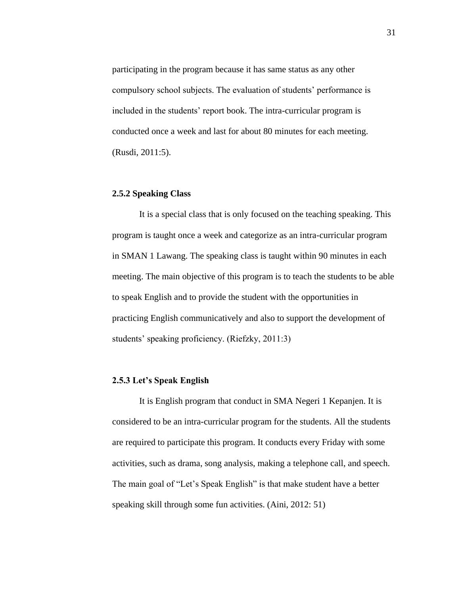participating in the program because it has same status as any other compulsory school subjects. The evaluation of students" performance is included in the students' report book. The intra-curricular program is conducted once a week and last for about 80 minutes for each meeting. (Rusdi, 2011:5).

## **2.5.2 Speaking Class**

It is a special class that is only focused on the teaching speaking. This program is taught once a week and categorize as an intra-curricular program in SMAN 1 Lawang. The speaking class is taught within 90 minutes in each meeting. The main objective of this program is to teach the students to be able to speak English and to provide the student with the opportunities in practicing English communicatively and also to support the development of students' speaking proficiency. (Riefzky, 2011:3)

## **2.5.3 Let's Speak English**

It is English program that conduct in SMA Negeri 1 Kepanjen. It is considered to be an intra-curricular program for the students. All the students are required to participate this program. It conducts every Friday with some activities, such as drama, song analysis, making a telephone call, and speech. The main goal of "Let's Speak English" is that make student have a better speaking skill through some fun activities. (Aini, 2012: 51)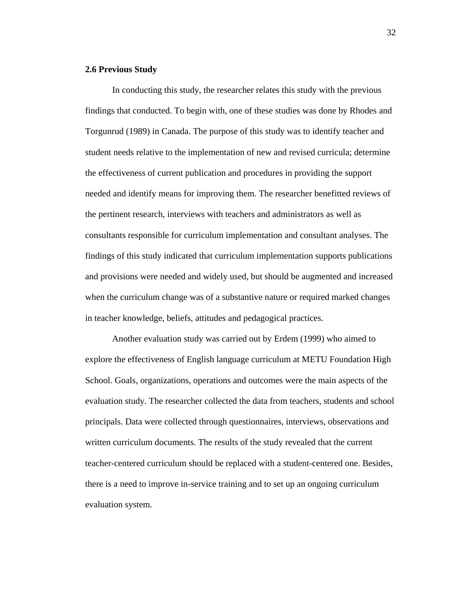#### **2.6 Previous Study**

In conducting this study, the researcher relates this study with the previous findings that conducted. To begin with, one of these studies was done by Rhodes and Torgunrud (1989) in Canada. The purpose of this study was to identify teacher and student needs relative to the implementation of new and revised curricula; determine the effectiveness of current publication and procedures in providing the support needed and identify means for improving them. The researcher benefitted reviews of the pertinent research, interviews with teachers and administrators as well as consultants responsible for curriculum implementation and consultant analyses. The findings of this study indicated that curriculum implementation supports publications and provisions were needed and widely used, but should be augmented and increased when the curriculum change was of a substantive nature or required marked changes in teacher knowledge, beliefs, attitudes and pedagogical practices.

Another evaluation study was carried out by Erdem (1999) who aimed to explore the effectiveness of English language curriculum at METU Foundation High School. Goals, organizations, operations and outcomes were the main aspects of the evaluation study. The researcher collected the data from teachers, students and school principals. Data were collected through questionnaires, interviews, observations and written curriculum documents. The results of the study revealed that the current teacher-centered curriculum should be replaced with a student-centered one. Besides, there is a need to improve in-service training and to set up an ongoing curriculum evaluation system.